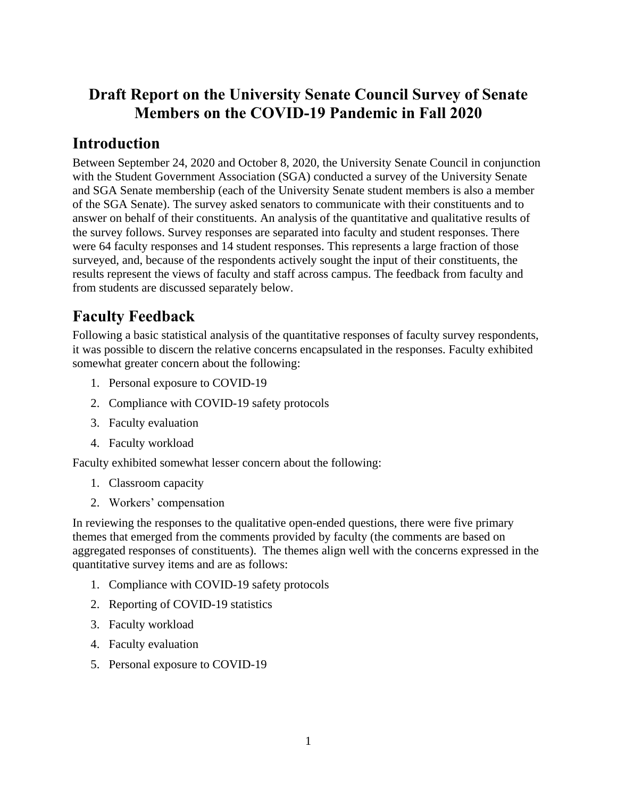# **Draft Report on the University Senate Council Survey of Senate Members on the COVID-19 Pandemic in Fall 2020**

# **Introduction**

Between September 24, 2020 and October 8, 2020, the University Senate Council in conjunction with the Student Government Association (SGA) conducted a survey of the University Senate and SGA Senate membership (each of the University Senate student members is also a member of the SGA Senate). The survey asked senators to communicate with their constituents and to answer on behalf of their constituents. An analysis of the quantitative and qualitative results of the survey follows. Survey responses are separated into faculty and student responses. There were 64 faculty responses and 14 student responses. This represents a large fraction of those surveyed, and, because of the respondents actively sought the input of their constituents, the results represent the views of faculty and staff across campus. The feedback from faculty and from students are discussed separately below.

# **Faculty Feedback**

Following a basic statistical analysis of the quantitative responses of faculty survey respondents, it was possible to discern the relative concerns encapsulated in the responses. Faculty exhibited somewhat greater concern about the following:

- 1. Personal exposure to COVID-19
- 2. Compliance with COVID-19 safety protocols
- 3. Faculty evaluation
- 4. Faculty workload

Faculty exhibited somewhat lesser concern about the following:

- 1. Classroom capacity
- 2. Workers' compensation

In reviewing the responses to the qualitative open-ended questions, there were five primary themes that emerged from the comments provided by faculty (the comments are based on aggregated responses of constituents). The themes align well with the concerns expressed in the quantitative survey items and are as follows:

- 1. Compliance with COVID-19 safety protocols
- 2. Reporting of COVID-19 statistics
- 3. Faculty workload
- 4. Faculty evaluation
- 5. Personal exposure to COVID-19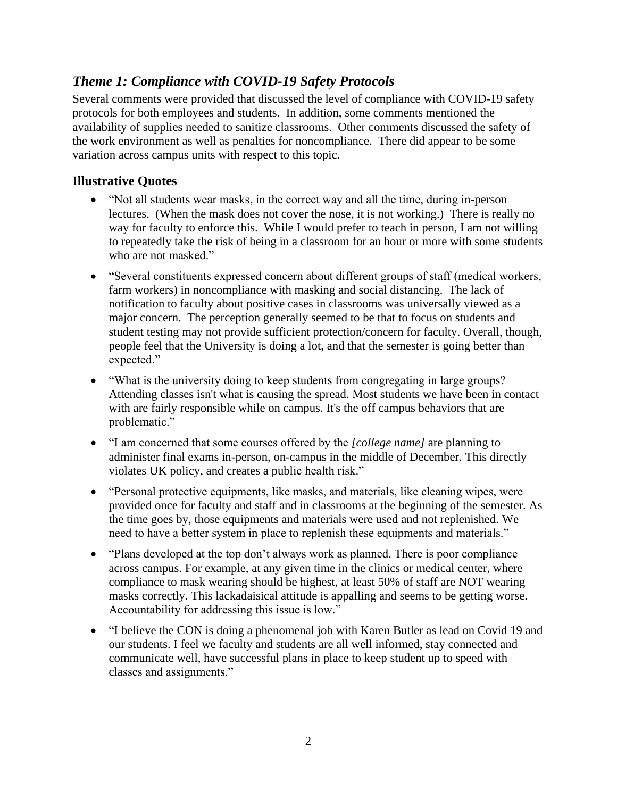# *Theme 1: Compliance with COVID-19 Safety Protocols*

Several comments were provided that discussed the level of compliance with COVID-19 safety protocols for both employees and students. In addition, some comments mentioned the availability of supplies needed to sanitize classrooms. Other comments discussed the safety of the work environment as well as penalties for noncompliance. There did appear to be some variation across campus units with respect to this topic.

## **Illustrative Quotes**

- "Not all students wear masks, in the correct way and all the time, during in-person lectures. (When the mask does not cover the nose, it is not working.) There is really no way for faculty to enforce this. While I would prefer to teach in person, I am not willing to repeatedly take the risk of being in a classroom for an hour or more with some students who are not masked."
- "Several constituents expressed concern about different groups of staff (medical workers, farm workers) in noncompliance with masking and social distancing. The lack of notification to faculty about positive cases in classrooms was universally viewed as a major concern. The perception generally seemed to be that to focus on students and student testing may not provide sufficient protection/concern for faculty. Overall, though, people feel that the University is doing a lot, and that the semester is going better than expected."
- "What is the university doing to keep students from congregating in large groups? Attending classes isn't what is causing the spread. Most students we have been in contact with are fairly responsible while on campus. It's the off campus behaviors that are problematic."
- "I am concerned that some courses offered by the *[college name]* are planning to administer final exams in-person, on-campus in the middle of December. This directly violates UK policy, and creates a public health risk."
- "Personal protective equipments, like masks, and materials, like cleaning wipes, were provided once for faculty and staff and in classrooms at the beginning of the semester. As the time goes by, those equipments and materials were used and not replenished. We need to have a better system in place to replenish these equipments and materials."
- "Plans developed at the top don't always work as planned. There is poor compliance across campus. For example, at any given time in the clinics or medical center, where compliance to mask wearing should be highest, at least 50% of staff are NOT wearing masks correctly. This lackadaisical attitude is appalling and seems to be getting worse. Accountability for addressing this issue is low."
- "I believe the CON is doing a phenomenal job with Karen Butler as lead on Covid 19 and our students. I feel we faculty and students are all well informed, stay connected and communicate well, have successful plans in place to keep student up to speed with classes and assignments."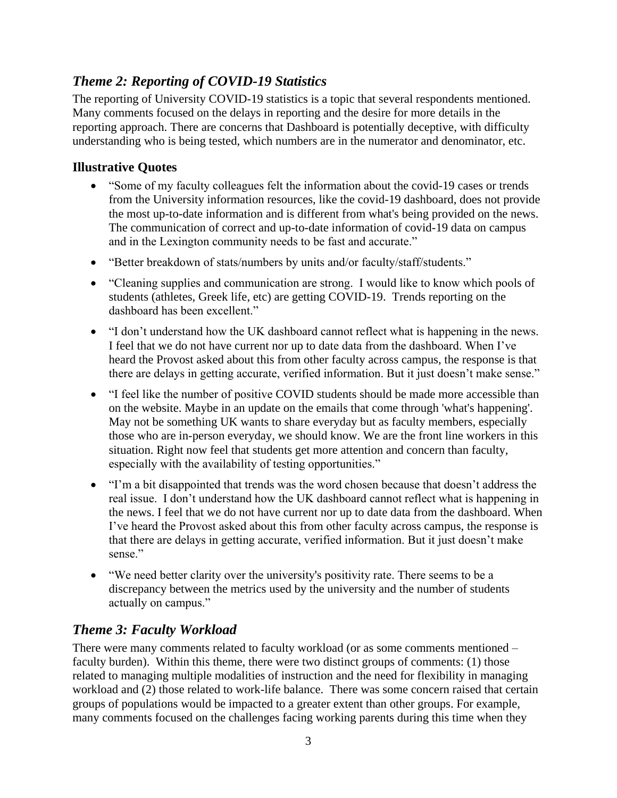# *Theme 2: Reporting of COVID-19 Statistics*

The reporting of University COVID-19 statistics is a topic that several respondents mentioned. Many comments focused on the delays in reporting and the desire for more details in the reporting approach. There are concerns that Dashboard is potentially deceptive, with difficulty understanding who is being tested, which numbers are in the numerator and denominator, etc.

### **Illustrative Quotes**

- "Some of my faculty colleagues felt the information about the covid-19 cases or trends from the University information resources, like the covid-19 dashboard, does not provide the most up-to-date information and is different from what's being provided on the news. The communication of correct and up-to-date information of covid-19 data on campus and in the Lexington community needs to be fast and accurate."
- "Better breakdown of stats/numbers by units and/or faculty/staff/students."
- "Cleaning supplies and communication are strong. I would like to know which pools of students (athletes, Greek life, etc) are getting COVID-19. Trends reporting on the dashboard has been excellent."
- "I don't understand how the UK dashboard cannot reflect what is happening in the news. I feel that we do not have current nor up to date data from the dashboard. When I've heard the Provost asked about this from other faculty across campus, the response is that there are delays in getting accurate, verified information. But it just doesn't make sense."
- "I feel like the number of positive COVID students should be made more accessible than on the website. Maybe in an update on the emails that come through 'what's happening'. May not be something UK wants to share everyday but as faculty members, especially those who are in-person everyday, we should know. We are the front line workers in this situation. Right now feel that students get more attention and concern than faculty, especially with the availability of testing opportunities."
- "I'm a bit disappointed that trends was the word chosen because that doesn't address the real issue. I don't understand how the UK dashboard cannot reflect what is happening in the news. I feel that we do not have current nor up to date data from the dashboard. When I've heard the Provost asked about this from other faculty across campus, the response is that there are delays in getting accurate, verified information. But it just doesn't make sense."
- "We need better clarity over the university's positivity rate. There seems to be a discrepancy between the metrics used by the university and the number of students actually on campus."

# *Theme 3: Faculty Workload*

There were many comments related to faculty workload (or as some comments mentioned – faculty burden). Within this theme, there were two distinct groups of comments: (1) those related to managing multiple modalities of instruction and the need for flexibility in managing workload and (2) those related to work-life balance. There was some concern raised that certain groups of populations would be impacted to a greater extent than other groups. For example, many comments focused on the challenges facing working parents during this time when they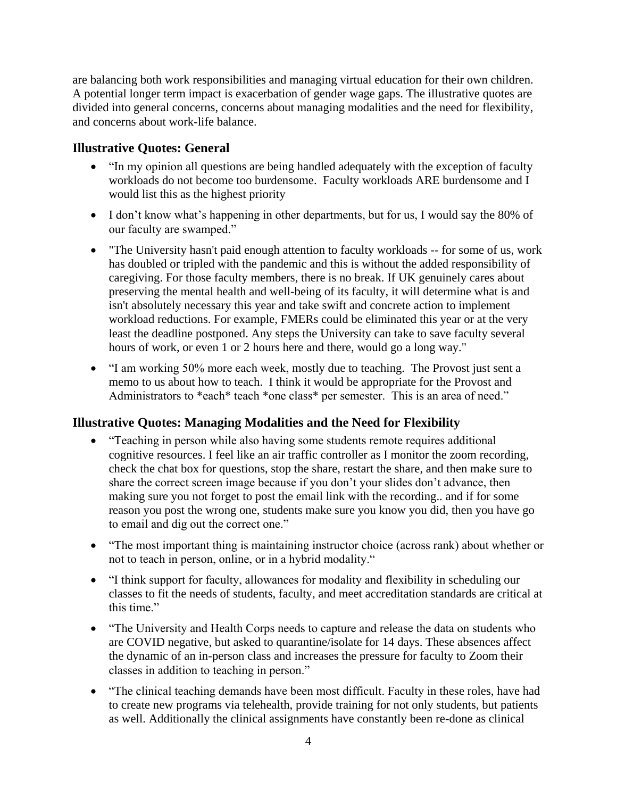are balancing both work responsibilities and managing virtual education for their own children. A potential longer term impact is exacerbation of gender wage gaps. The illustrative quotes are divided into general concerns, concerns about managing modalities and the need for flexibility, and concerns about work-life balance.

#### **Illustrative Quotes: General**

- "In my opinion all questions are being handled adequately with the exception of faculty workloads do not become too burdensome. Faculty workloads ARE burdensome and I would list this as the highest priority
- I don't know what's happening in other departments, but for us, I would say the 80% of our faculty are swamped."
- "The University hasn't paid enough attention to faculty workloads -- for some of us, work has doubled or tripled with the pandemic and this is without the added responsibility of caregiving. For those faculty members, there is no break. If UK genuinely cares about preserving the mental health and well-being of its faculty, it will determine what is and isn't absolutely necessary this year and take swift and concrete action to implement workload reductions. For example, FMERs could be eliminated this year or at the very least the deadline postponed. Any steps the University can take to save faculty several hours of work, or even 1 or 2 hours here and there, would go a long way."
- "I am working 50% more each week, mostly due to teaching. The Provost just sent a memo to us about how to teach. I think it would be appropriate for the Provost and Administrators to \*each\* teach \*one class\* per semester. This is an area of need."

### **Illustrative Quotes: Managing Modalities and the Need for Flexibility**

- "Teaching in person while also having some students remote requires additional cognitive resources. I feel like an air traffic controller as I monitor the zoom recording, check the chat box for questions, stop the share, restart the share, and then make sure to share the correct screen image because if you don't your slides don't advance, then making sure you not forget to post the email link with the recording.. and if for some reason you post the wrong one, students make sure you know you did, then you have go to email and dig out the correct one."
- "The most important thing is maintaining instructor choice (across rank) about whether or not to teach in person, online, or in a hybrid modality."
- "I think support for faculty, allowances for modality and flexibility in scheduling our classes to fit the needs of students, faculty, and meet accreditation standards are critical at this time."
- "The University and Health Corps needs to capture and release the data on students who are COVID negative, but asked to quarantine/isolate for 14 days. These absences affect the dynamic of an in-person class and increases the pressure for faculty to Zoom their classes in addition to teaching in person."
- "The clinical teaching demands have been most difficult. Faculty in these roles, have had to create new programs via telehealth, provide training for not only students, but patients as well. Additionally the clinical assignments have constantly been re-done as clinical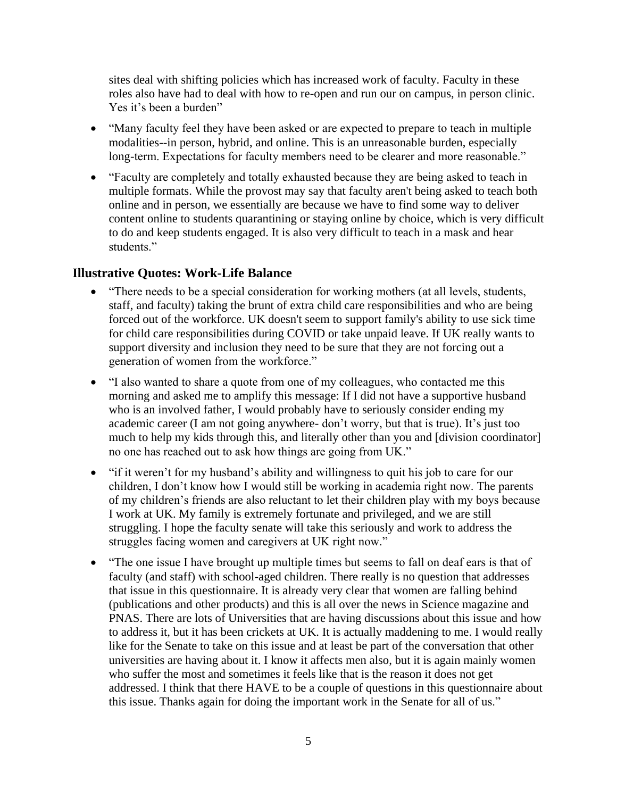sites deal with shifting policies which has increased work of faculty. Faculty in these roles also have had to deal with how to re-open and run our on campus, in person clinic. Yes it's been a burden"

- "Many faculty feel they have been asked or are expected to prepare to teach in multiple modalities--in person, hybrid, and online. This is an unreasonable burden, especially long-term. Expectations for faculty members need to be clearer and more reasonable."
- "Faculty are completely and totally exhausted because they are being asked to teach in multiple formats. While the provost may say that faculty aren't being asked to teach both online and in person, we essentially are because we have to find some way to deliver content online to students quarantining or staying online by choice, which is very difficult to do and keep students engaged. It is also very difficult to teach in a mask and hear students."

#### **Illustrative Quotes: Work-Life Balance**

- "There needs to be a special consideration for working mothers (at all levels, students, staff, and faculty) taking the brunt of extra child care responsibilities and who are being forced out of the workforce. UK doesn't seem to support family's ability to use sick time for child care responsibilities during COVID or take unpaid leave. If UK really wants to support diversity and inclusion they need to be sure that they are not forcing out a generation of women from the workforce."
- "I also wanted to share a quote from one of my colleagues, who contacted me this morning and asked me to amplify this message: If I did not have a supportive husband who is an involved father, I would probably have to seriously consider ending my academic career (I am not going anywhere- don't worry, but that is true). It's just too much to help my kids through this, and literally other than you and [division coordinator] no one has reached out to ask how things are going from UK."
- "if it weren't for my husband's ability and willingness to quit his job to care for our children, I don't know how I would still be working in academia right now. The parents of my children's friends are also reluctant to let their children play with my boys because I work at UK. My family is extremely fortunate and privileged, and we are still struggling. I hope the faculty senate will take this seriously and work to address the struggles facing women and caregivers at UK right now."
- "The one issue I have brought up multiple times but seems to fall on deaf ears is that of faculty (and staff) with school-aged children. There really is no question that addresses that issue in this questionnaire. It is already very clear that women are falling behind (publications and other products) and this is all over the news in Science magazine and PNAS. There are lots of Universities that are having discussions about this issue and how to address it, but it has been crickets at UK. It is actually maddening to me. I would really like for the Senate to take on this issue and at least be part of the conversation that other universities are having about it. I know it affects men also, but it is again mainly women who suffer the most and sometimes it feels like that is the reason it does not get addressed. I think that there HAVE to be a couple of questions in this questionnaire about this issue. Thanks again for doing the important work in the Senate for all of us."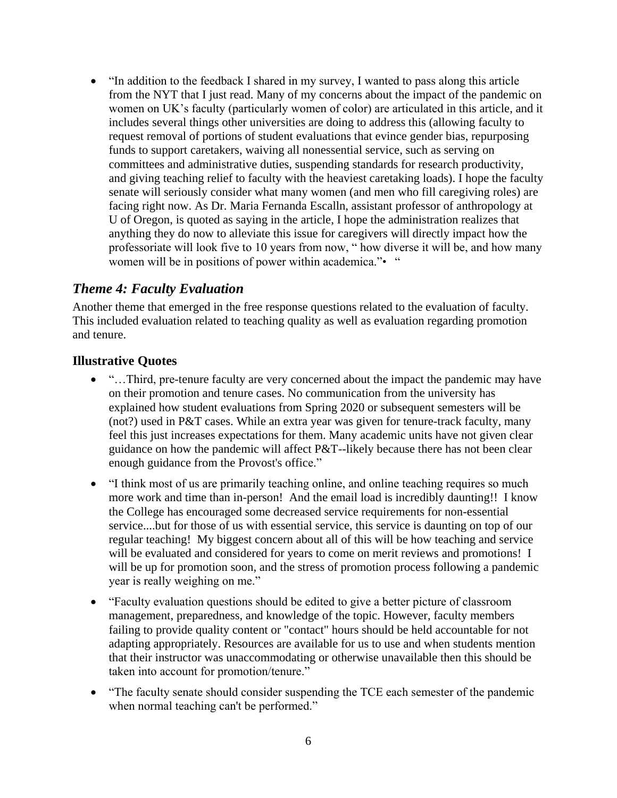• "In addition to the feedback I shared in my survey, I wanted to pass along this article from the NYT that I just read. Many of my concerns about the impact of the pandemic on women on UK's faculty (particularly women of color) are articulated in this article, and it includes several things other universities are doing to address this (allowing faculty to request removal of portions of student evaluations that evince gender bias, repurposing funds to support caretakers, waiving all nonessential service, such as serving on committees and administrative duties, suspending standards for research productivity, and giving teaching relief to faculty with the heaviest caretaking loads). I hope the faculty senate will seriously consider what many women (and men who fill caregiving roles) are facing right now. As Dr. Maria Fernanda Escalln, assistant professor of anthropology at U of Oregon, is quoted as saying in the article, I hope the administration realizes that anything they do now to alleviate this issue for caregivers will directly impact how the professoriate will look five to 10 years from now, " how diverse it will be, and how many women will be in positions of power within academica."• "

### *Theme 4: Faculty Evaluation*

Another theme that emerged in the free response questions related to the evaluation of faculty. This included evaluation related to teaching quality as well as evaluation regarding promotion and tenure.

#### **Illustrative Quotes**

- "...Third, pre-tenure faculty are very concerned about the impact the pandemic may have on their promotion and tenure cases. No communication from the university has explained how student evaluations from Spring 2020 or subsequent semesters will be (not?) used in P&T cases. While an extra year was given for tenure-track faculty, many feel this just increases expectations for them. Many academic units have not given clear guidance on how the pandemic will affect P&T--likely because there has not been clear enough guidance from the Provost's office."
- "I think most of us are primarily teaching online, and online teaching requires so much more work and time than in-person! And the email load is incredibly daunting!! I know the College has encouraged some decreased service requirements for non-essential service....but for those of us with essential service, this service is daunting on top of our regular teaching! My biggest concern about all of this will be how teaching and service will be evaluated and considered for years to come on merit reviews and promotions! I will be up for promotion soon, and the stress of promotion process following a pandemic year is really weighing on me."
- "Faculty evaluation questions should be edited to give a better picture of classroom management, preparedness, and knowledge of the topic. However, faculty members failing to provide quality content or "contact" hours should be held accountable for not adapting appropriately. Resources are available for us to use and when students mention that their instructor was unaccommodating or otherwise unavailable then this should be taken into account for promotion/tenure."
- "The faculty senate should consider suspending the TCE each semester of the pandemic when normal teaching can't be performed."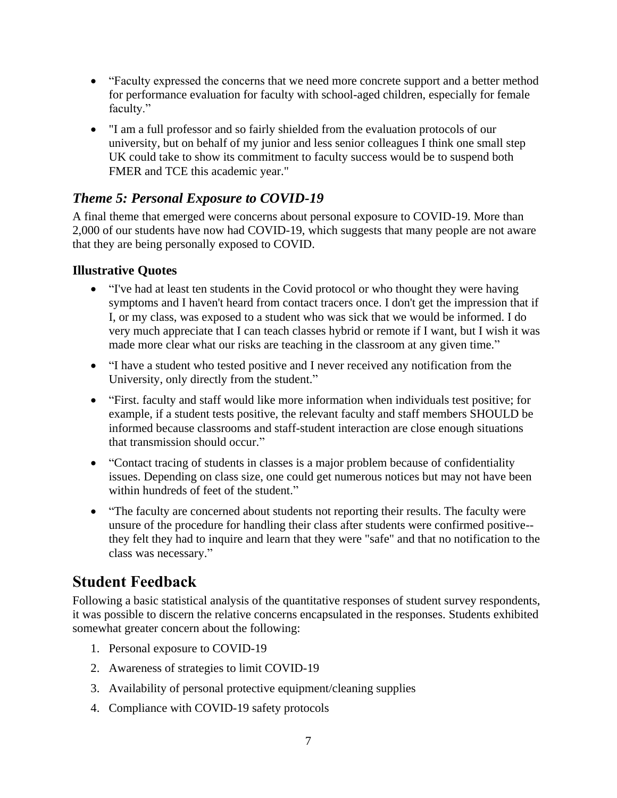- "Faculty expressed the concerns that we need more concrete support and a better method for performance evaluation for faculty with school-aged children, especially for female faculty."
- "I am a full professor and so fairly shielded from the evaluation protocols of our university, but on behalf of my junior and less senior colleagues I think one small step UK could take to show its commitment to faculty success would be to suspend both FMER and TCE this academic year."

# *Theme 5: Personal Exposure to COVID-19*

A final theme that emerged were concerns about personal exposure to COVID-19. More than 2,000 of our students have now had COVID-19, which suggests that many people are not aware that they are being personally exposed to COVID.

## **Illustrative Quotes**

- "I've had at least ten students in the Covid protocol or who thought they were having symptoms and I haven't heard from contact tracers once. I don't get the impression that if I, or my class, was exposed to a student who was sick that we would be informed. I do very much appreciate that I can teach classes hybrid or remote if I want, but I wish it was made more clear what our risks are teaching in the classroom at any given time."
- "I have a student who tested positive and I never received any notification from the University, only directly from the student."
- "First. faculty and staff would like more information when individuals test positive; for example, if a student tests positive, the relevant faculty and staff members SHOULD be informed because classrooms and staff-student interaction are close enough situations that transmission should occur."
- "Contact tracing of students in classes is a major problem because of confidentiality issues. Depending on class size, one could get numerous notices but may not have been within hundreds of feet of the student."
- "The faculty are concerned about students not reporting their results. The faculty were unsure of the procedure for handling their class after students were confirmed positive- they felt they had to inquire and learn that they were "safe" and that no notification to the class was necessary."

# **Student Feedback**

Following a basic statistical analysis of the quantitative responses of student survey respondents, it was possible to discern the relative concerns encapsulated in the responses. Students exhibited somewhat greater concern about the following:

- 1. Personal exposure to COVID-19
- 2. Awareness of strategies to limit COVID-19
- 3. Availability of personal protective equipment/cleaning supplies
- 4. Compliance with COVID-19 safety protocols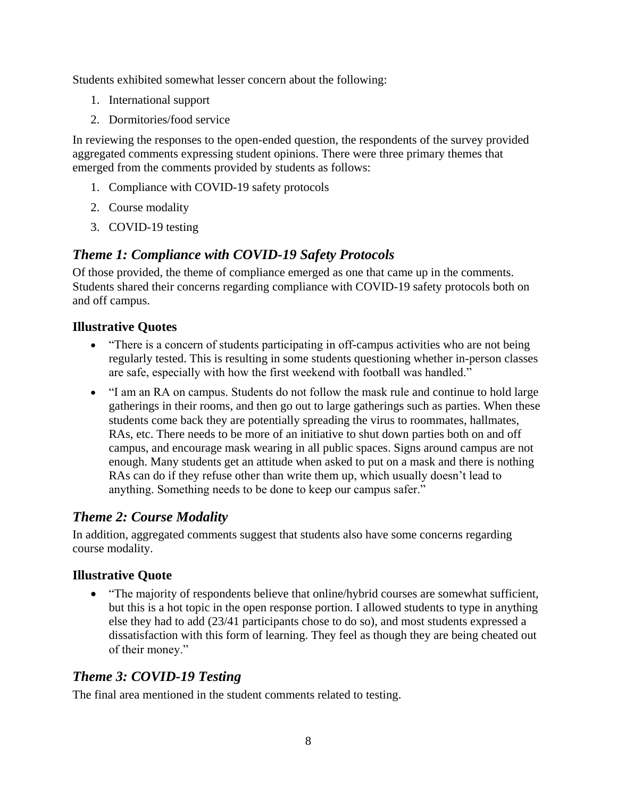Students exhibited somewhat lesser concern about the following:

- 1. International support
- 2. Dormitories/food service

In reviewing the responses to the open-ended question, the respondents of the survey provided aggregated comments expressing student opinions. There were three primary themes that emerged from the comments provided by students as follows:

- 1. Compliance with COVID-19 safety protocols
- 2. Course modality
- 3. COVID-19 testing

# *Theme 1: Compliance with COVID-19 Safety Protocols*

Of those provided, the theme of compliance emerged as one that came up in the comments. Students shared their concerns regarding compliance with COVID-19 safety protocols both on and off campus.

### **Illustrative Quotes**

- "There is a concern of students participating in off-campus activities who are not being regularly tested. This is resulting in some students questioning whether in-person classes are safe, especially with how the first weekend with football was handled."
- "I am an RA on campus. Students do not follow the mask rule and continue to hold large gatherings in their rooms, and then go out to large gatherings such as parties. When these students come back they are potentially spreading the virus to roommates, hallmates, RAs, etc. There needs to be more of an initiative to shut down parties both on and off campus, and encourage mask wearing in all public spaces. Signs around campus are not enough. Many students get an attitude when asked to put on a mask and there is nothing RAs can do if they refuse other than write them up, which usually doesn't lead to anything. Something needs to be done to keep our campus safer."

## *Theme 2: Course Modality*

In addition, aggregated comments suggest that students also have some concerns regarding course modality.

### **Illustrative Quote**

• "The majority of respondents believe that online/hybrid courses are somewhat sufficient, but this is a hot topic in the open response portion. I allowed students to type in anything else they had to add (23/41 participants chose to do so), and most students expressed a dissatisfaction with this form of learning. They feel as though they are being cheated out of their money."

## *Theme 3: COVID-19 Testing*

The final area mentioned in the student comments related to testing.